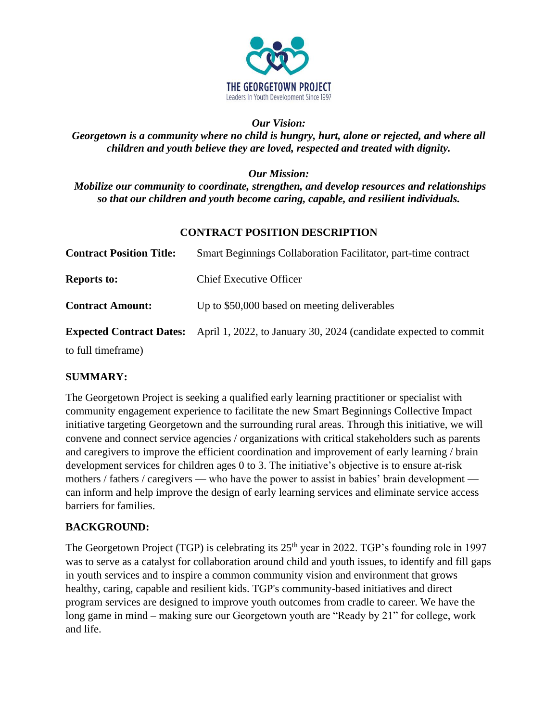

## *Our Vision:*

*Georgetown is a community where no child is hungry, hurt, alone or rejected, and where all children and youth believe they are loved, respected and treated with dignity.*

*Our Mission:*

*Mobilize our community to coordinate, strengthen, and develop resources and relationships so that our children and youth become caring, capable, and resilient individuals.*

#### **CONTRACT POSITION DESCRIPTION**

| <b>Contract Position Title:</b> | Smart Beginnings Collaboration Facilitator, part-time contract                                   |
|---------------------------------|--------------------------------------------------------------------------------------------------|
| <b>Reports to:</b>              | <b>Chief Executive Officer</b>                                                                   |
| <b>Contract Amount:</b>         | Up to \$50,000 based on meeting deliverables                                                     |
|                                 | <b>Expected Contract Dates:</b> April 1, 2022, to January 30, 2024 (candidate expected to commit |
| to full timeframe)              |                                                                                                  |

#### **SUMMARY:**

The Georgetown Project is seeking a qualified early learning practitioner or specialist with community engagement experience to facilitate the new Smart Beginnings Collective Impact initiative targeting Georgetown and the surrounding rural areas. Through this initiative, we will convene and connect service agencies / organizations with critical stakeholders such as parents and caregivers to improve the efficient coordination and improvement of early learning / brain development services for children ages 0 to 3. The initiative's objective is to ensure at-risk mothers / fathers / caregivers — who have the power to assist in babies' brain development can inform and help improve the design of early learning services and eliminate service access barriers for families.

## **BACKGROUND:**

The Georgetown Project (TGP) is celebrating its  $25<sup>th</sup>$  year in 2022. TGP's founding role in 1997 was to serve as a catalyst for collaboration around child and youth issues, to identify and fill gaps in youth services and to inspire a common community vision and environment that grows healthy, caring, capable and resilient kids. TGP's community-based initiatives and direct program services are designed to improve youth outcomes from cradle to career. We have the long game in mind – making sure our Georgetown youth are "Ready by 21" for college, work and life.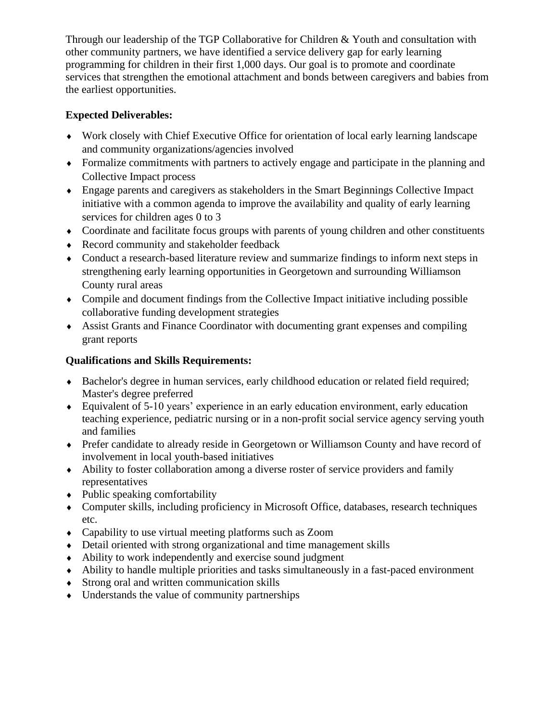Through our leadership of the TGP Collaborative for Children & Youth and consultation with other community partners, we have identified a service delivery gap for early learning programming for children in their first 1,000 days. Our goal is to promote and coordinate services that strengthen the emotional attachment and bonds between caregivers and babies from the earliest opportunities.

## **Expected Deliverables:**

- Work closely with Chief Executive Office for orientation of local early learning landscape and community organizations/agencies involved
- Formalize commitments with partners to actively engage and participate in the planning and Collective Impact process
- Engage parents and caregivers as stakeholders in the Smart Beginnings Collective Impact initiative with a common agenda to improve the availability and quality of early learning services for children ages 0 to 3
- Coordinate and facilitate focus groups with parents of young children and other constituents
- Record community and stakeholder feedback
- Conduct a research-based literature review and summarize findings to inform next steps in strengthening early learning opportunities in Georgetown and surrounding Williamson County rural areas
- Compile and document findings from the Collective Impact initiative including possible collaborative funding development strategies
- Assist Grants and Finance Coordinator with documenting grant expenses and compiling grant reports

# **Qualifications and Skills Requirements:**

- Bachelor's degree in human services, early childhood education or related field required; Master's degree preferred
- Equivalent of 5-10 years' experience in an early education environment, early education teaching experience, pediatric nursing or in a non-profit social service agency serving youth and families
- Prefer candidate to already reside in Georgetown or Williamson County and have record of involvement in local youth-based initiatives
- Ability to foster collaboration among a diverse roster of service providers and family representatives
- Public speaking comfortability
- Computer skills, including proficiency in Microsoft Office, databases, research techniques etc.
- Capability to use virtual meeting platforms such as Zoom
- Detail oriented with strong organizational and time management skills
- Ability to work independently and exercise sound judgment
- Ability to handle multiple priorities and tasks simultaneously in a fast-paced environment
- Strong oral and written communication skills
- $\bullet$  Understands the value of community partnerships